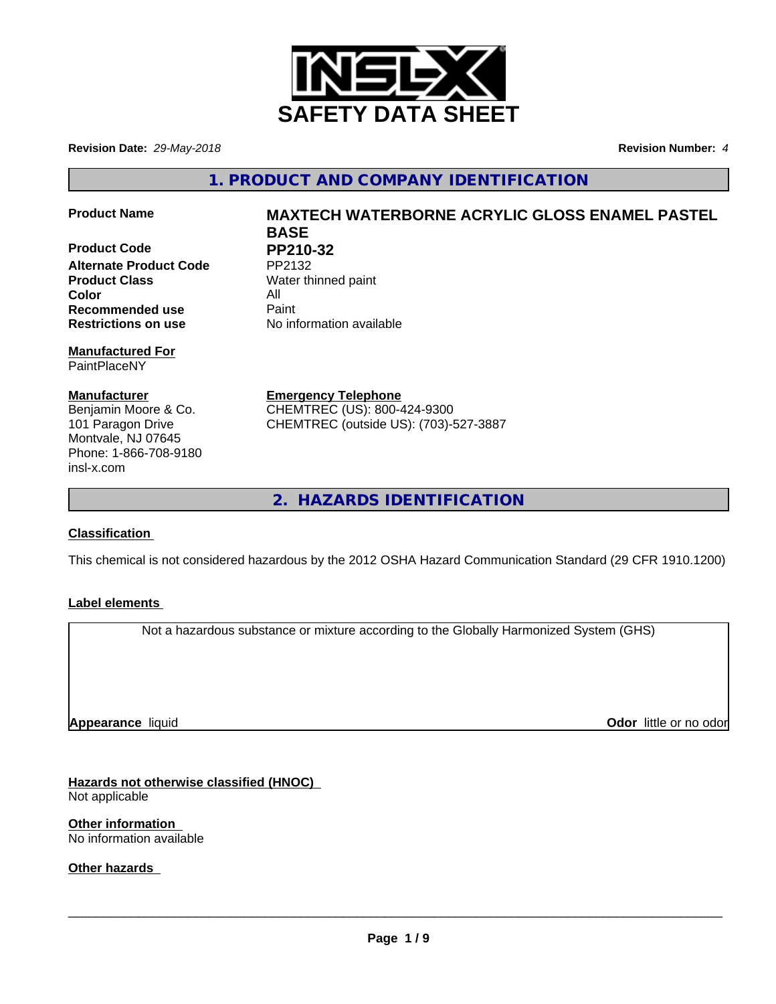

**Revision Date:** *29-May-2018* **Revision Number:** *4*

**1. PRODUCT AND COMPANY IDENTIFICATION**

**Product Code PP210-32**<br>Alternate Product Code PP2132 **Alternate Product Code Product Class** Water thinned paint **Color** All **All**<br> **Recommended use** Paint **Recommended use Restrictions on use** No information available

### **Manufactured For** PaintPlaceNY

**Manufacturer** Benjamin Moore & Co. 101 Paragon Drive Montvale, NJ 07645 Phone: 1-866-708-9180 insl-x.com

# **Product Name MAXTECH WATERBORNE ACRYLIC GLOSS ENAMEL PASTEL BASE**

**Emergency Telephone** CHEMTREC (US): 800-424-9300 CHEMTREC (outside US): (703)-527-3887

**2. HAZARDS IDENTIFICATION**

## **Classification**

This chemical is not considered hazardous by the 2012 OSHA Hazard Communication Standard (29 CFR 1910.1200)

## **Label elements**

Not a hazardous substance or mixture according to the Globally Harmonized System (GHS)

**Appearance** liquid

**Odor** little or no odor

**Hazards not otherwise classified (HNOC)** Not applicable

**Other information** No information available

**Other hazards**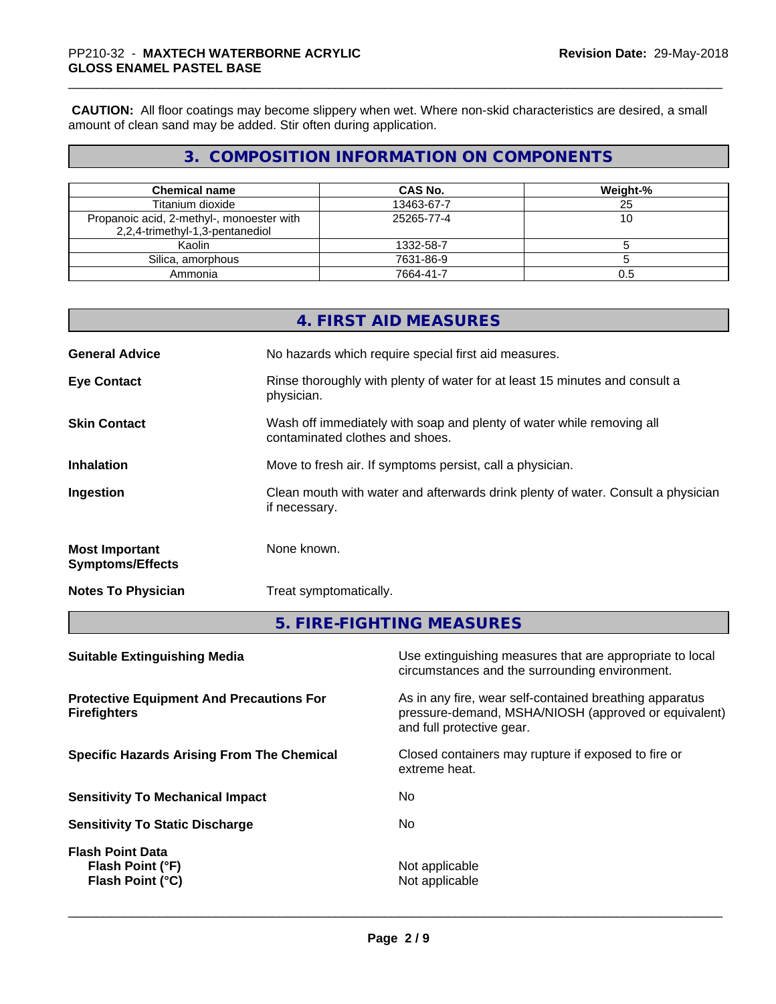**CAUTION:** All floor coatings may become slippery when wet. Where non-skid characteristics are desired, a small amount of clean sand may be added. Stir often during application.

## **3. COMPOSITION INFORMATION ON COMPONENTS**

| <b>Chemical name</b>                                                         | <b>CAS No.</b> | Weight-% |
|------------------------------------------------------------------------------|----------------|----------|
| Titanium dioxide                                                             | 13463-67-7     | 25       |
| Propanoic acid, 2-methyl-, monoester with<br>2,2,4-trimethyl-1,3-pentanediol | 25265-77-4     | ιv       |
| Kaolin                                                                       | 1332-58-7      |          |
| Silica, amorphous                                                            | 7631-86-9      |          |
| Ammonia                                                                      | 7664-41-7      | 0.5      |

|                                                  | 4. FIRST AID MEASURES                                                                                                                   |  |
|--------------------------------------------------|-----------------------------------------------------------------------------------------------------------------------------------------|--|
| <b>General Advice</b>                            | No hazards which require special first aid measures.                                                                                    |  |
| <b>Eye Contact</b>                               | Rinse thoroughly with plenty of water for at least 15 minutes and consult a<br>physician.                                               |  |
| <b>Skin Contact</b>                              | Wash off immediately with soap and plenty of water while removing all<br>contaminated clothes and shoes.                                |  |
| Inhalation                                       | Move to fresh air. If symptoms persist, call a physician.                                                                               |  |
| Ingestion                                        | Clean mouth with water and afterwards drink plenty of water. Consult a physician<br>if necessary.                                       |  |
| <b>Most Important</b><br><b>Symptoms/Effects</b> | None known.                                                                                                                             |  |
| <b>Notes To Physician</b>                        | Treat symptomatically.                                                                                                                  |  |
|                                                  | 5. FIRE-FIGHTING MEASURES                                                                                                               |  |
| <b>Suitable Extinguishing Media</b>              | Use extinguishing measures that are appropriate to local<br>المتوجود والمتاريقين والمسالم والمتاريخ المتال والمستوات والمستحدث والمسالم |  |

| circumstances and the surrounding environment.                                                                                               |
|----------------------------------------------------------------------------------------------------------------------------------------------|
| As in any fire, wear self-contained breathing apparatus<br>pressure-demand, MSHA/NIOSH (approved or equivalent)<br>and full protective gear. |
| Closed containers may rupture if exposed to fire or<br>extreme heat.                                                                         |
| No.                                                                                                                                          |
| No                                                                                                                                           |
| Not applicable<br>Not applicable                                                                                                             |
|                                                                                                                                              |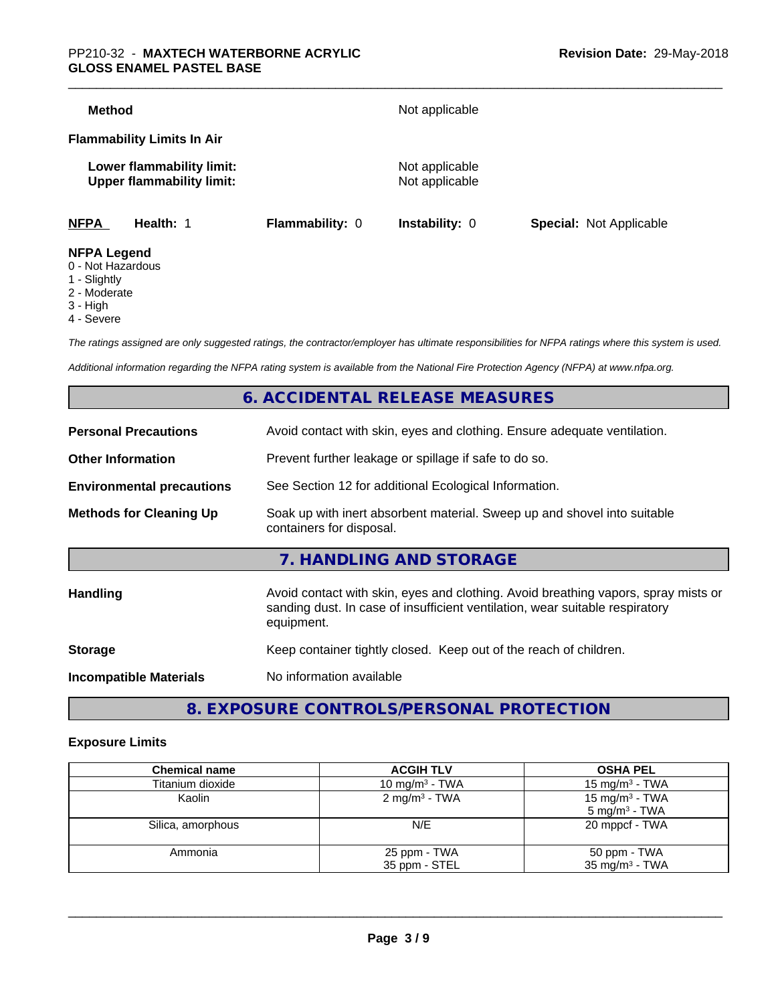| Method                                  |                                                               |                 | Not applicable                   |                                |
|-----------------------------------------|---------------------------------------------------------------|-----------------|----------------------------------|--------------------------------|
|                                         | <b>Flammability Limits In Air</b>                             |                 |                                  |                                |
|                                         | Lower flammability limit:<br><b>Upper flammability limit:</b> |                 | Not applicable<br>Not applicable |                                |
| <b>NFPA</b>                             | Health: 1                                                     | Flammability: 0 | <b>Instability: 0</b>            | <b>Special: Not Applicable</b> |
| <b>NFPA Legend</b><br>0 - Not Hazardous |                                                               |                 |                                  |                                |

- 
- 1 Slightly
- 2 Moderate
- 3 High
- 4 Severe

*The ratings assigned are only suggested ratings, the contractor/employer has ultimate responsibilities for NFPA ratings where this system is used.*

*Additional information regarding the NFPA rating system is available from the National Fire Protection Agency (NFPA) at www.nfpa.org.*

## **6. ACCIDENTAL RELEASE MEASURES**

| <b>Personal Precautions</b>      | Avoid contact with skin, eyes and clothing. Ensure adequate ventilation.                                                                                                         |  |  |
|----------------------------------|----------------------------------------------------------------------------------------------------------------------------------------------------------------------------------|--|--|
| <b>Other Information</b>         | Prevent further leakage or spillage if safe to do so.                                                                                                                            |  |  |
| <b>Environmental precautions</b> | See Section 12 for additional Ecological Information.                                                                                                                            |  |  |
| <b>Methods for Cleaning Up</b>   | Soak up with inert absorbent material. Sweep up and shovel into suitable<br>containers for disposal.                                                                             |  |  |
|                                  | 7. HANDLING AND STORAGE                                                                                                                                                          |  |  |
| <b>Handling</b>                  | Avoid contact with skin, eyes and clothing. Avoid breathing vapors, spray mists or<br>sanding dust. In case of insufficient ventilation, wear suitable respiratory<br>equipment. |  |  |
| <b>Storage</b>                   | Keep container tightly closed. Keep out of the reach of children.                                                                                                                |  |  |
| <b>Incompatible Materials</b>    | No information available                                                                                                                                                         |  |  |
|                                  |                                                                                                                                                                                  |  |  |

**8. EXPOSURE CONTROLS/PERSONAL PROTECTION**

## **Exposure Limits**

| <b>Chemical name</b> | <b>ACGIH TLV</b>         | <b>OSHA PEL</b>                                        |
|----------------------|--------------------------|--------------------------------------------------------|
| Titanium dioxide     | 10 mg/m $3$ - TWA        | 15 mg/m <sup>3</sup> - TWA                             |
| Kaolin               | $2 \text{ mg/m}^3$ - TWA | 15 mg/m <sup>3</sup> - TWA<br>$5 \text{ mg/m}^3$ - TWA |
| Silica, amorphous    | N/E                      | 20 mppcf - TWA                                         |
| Ammonia              | 25 ppm - TWA             | 50 ppm - TWA                                           |
|                      | 35 ppm - STEL            | 35 mg/m <sup>3</sup> - TWA                             |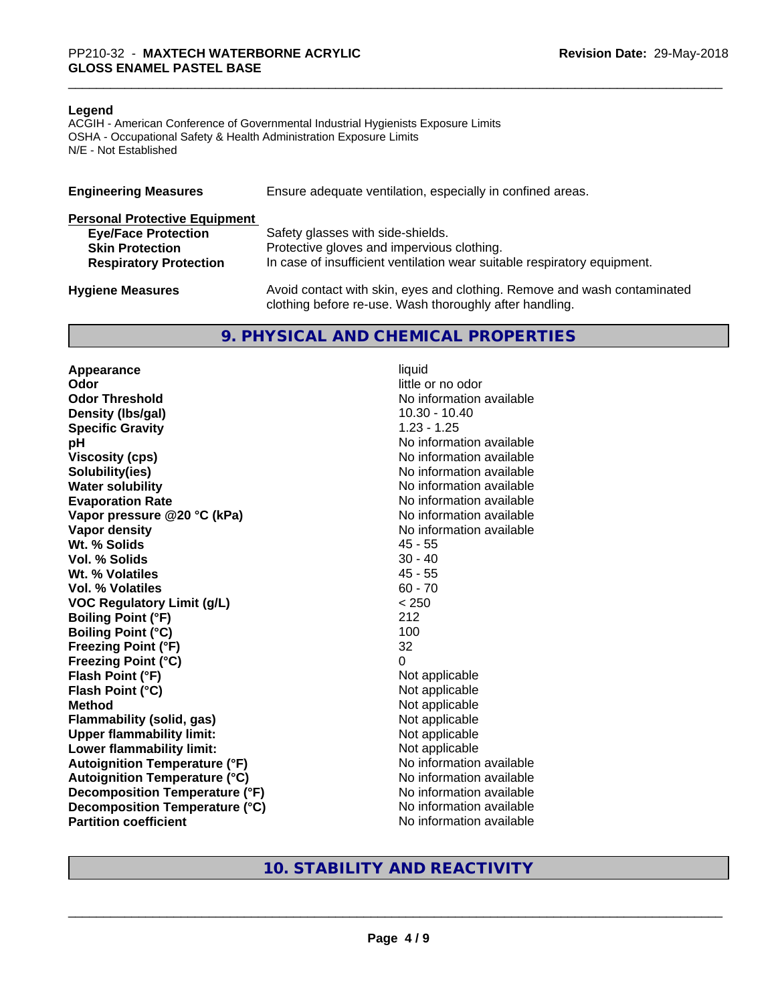#### **Legend**

ACGIH - American Conference of Governmental Industrial Hygienists Exposure Limits OSHA - Occupational Safety & Health Administration Exposure Limits N/E - Not Established

| <b>Engineering Measures</b>          | Ensure adequate ventilation, especially in confined areas.                                                                          |  |  |
|--------------------------------------|-------------------------------------------------------------------------------------------------------------------------------------|--|--|
| <b>Personal Protective Equipment</b> |                                                                                                                                     |  |  |
| <b>Eye/Face Protection</b>           | Safety glasses with side-shields.                                                                                                   |  |  |
| <b>Skin Protection</b>               | Protective gloves and impervious clothing.                                                                                          |  |  |
| <b>Respiratory Protection</b>        | In case of insufficient ventilation wear suitable respiratory equipment.                                                            |  |  |
| <b>Hygiene Measures</b>              | Avoid contact with skin, eyes and clothing. Remove and wash contaminated<br>clothing before re-use. Wash thoroughly after handling. |  |  |

## **9. PHYSICAL AND CHEMICAL PROPERTIES**

**Appearance** liquid **Odor** little or no odor **Odor Threshold No information available No information available Density (lbs/gal)** 10.30 - 10.40 **Specific Gravity** 1.23 - 1.25 **pH pH**  $\blacksquare$ **Viscosity (cps)** No information available **Solubility(ies)** No information available **Water solubility** No information available **Evaporation Rate No information available No information available Vapor pressure @20 °C (kPa)** No information available **Vapor density**<br> **We Solids**<br>
We Solids
2019 Wt. % Solids **Vol. % Solids** 30 - 40 **Wt. % Volatiles** 45 - 55 **Vol. % Volatiles** 60 - 70 **VOC Regulatory Limit (g/L)** < 250 **Boiling Point (°F)** 212 **Boiling Point (°C)** 100 **Freezing Point (°F)** 32 **Freezing Point (°C)** 0 **Flash Point (°F)**<br> **Flash Point (°C)**<br> **Flash Point (°C)**<br> **Not** applicable<br>
Not applicable **Flash Point (°C)**<br>Method **Flammability (solid, gas)**<br> **Upper flammability limit:**<br>
Upper flammability limit: **Upper flammability limit:**<br> **Lower flammability limit:** Not applicable Not applicable **Lower flammability limit: Autoignition Temperature (°F)** No information available **Autoignition Temperature (°C)** No information available **Decomposition Temperature (°F)** No information available **Decomposition Temperature (°C)** No information available **Partition coefficient** No information available

**Not applicable**<br>Not applicable

## **10. STABILITY AND REACTIVITY**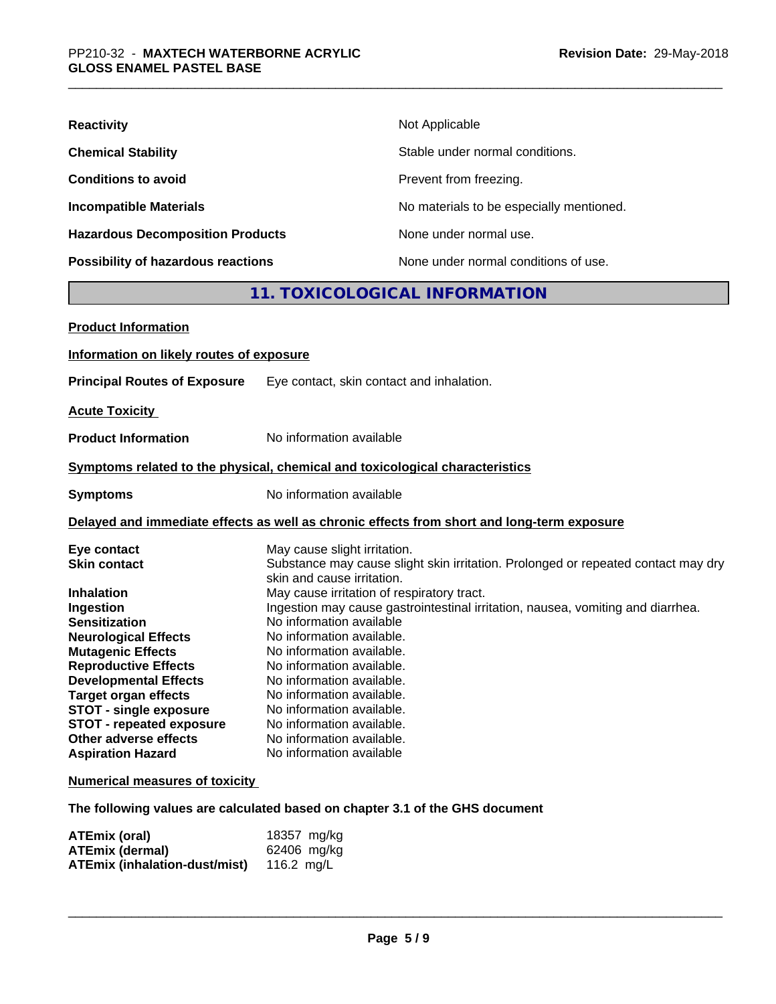| <b>Reactivity</b>                         | Not Applicable                           |
|-------------------------------------------|------------------------------------------|
| <b>Chemical Stability</b>                 | Stable under normal conditions.          |
| <b>Conditions to avoid</b>                | Prevent from freezing.                   |
| <b>Incompatible Materials</b>             | No materials to be especially mentioned. |
| <b>Hazardous Decomposition Products</b>   | None under normal use.                   |
| <b>Possibility of hazardous reactions</b> | None under normal conditions of use.     |

## **11. TOXICOLOGICAL INFORMATION**

| <b>Product Information</b>               |                                                                                                                 |
|------------------------------------------|-----------------------------------------------------------------------------------------------------------------|
| Information on likely routes of exposure |                                                                                                                 |
| <b>Principal Routes of Exposure</b>      | Eye contact, skin contact and inhalation.                                                                       |
| <b>Acute Toxicity</b>                    |                                                                                                                 |
| <b>Product Information</b>               | No information available                                                                                        |
|                                          | Symptoms related to the physical, chemical and toxicological characteristics                                    |
| <b>Symptoms</b>                          | No information available                                                                                        |
|                                          | Delayed and immediate effects as well as chronic effects from short and long-term exposure                      |
| Eye contact                              | May cause slight irritation.                                                                                    |
| <b>Skin contact</b>                      | Substance may cause slight skin irritation. Prolonged or repeated contact may dry<br>skin and cause irritation. |
| <b>Inhalation</b>                        | May cause irritation of respiratory tract.                                                                      |
| Ingestion                                | Ingestion may cause gastrointestinal irritation, nausea, vomiting and diarrhea.                                 |
| <b>Sensitization</b>                     | No information available                                                                                        |
| <b>Neurological Effects</b>              | No information available.                                                                                       |
| <b>Mutagenic Effects</b>                 | No information available.                                                                                       |
| <b>Reproductive Effects</b>              | No information available.                                                                                       |
| <b>Developmental Effects</b>             | No information available.                                                                                       |
| <b>Target organ effects</b>              | No information available.                                                                                       |
| <b>STOT - single exposure</b>            | No information available.                                                                                       |
| <b>STOT - repeated exposure</b>          | No information available.                                                                                       |
| Other adverse effects                    | No information available.                                                                                       |
| <b>Aspiration Hazard</b>                 | No information available                                                                                        |
| <b>Numerical measures of toxicity</b>    |                                                                                                                 |

**The following values are calculated based on chapter 3.1 of the GHS document**

| ATEmix (oral)                        | 18357 mg/kg |
|--------------------------------------|-------------|
| <b>ATEmix (dermal)</b>               | 62406 mg/kg |
| <b>ATEmix (inhalation-dust/mist)</b> | 116.2 ma/L  |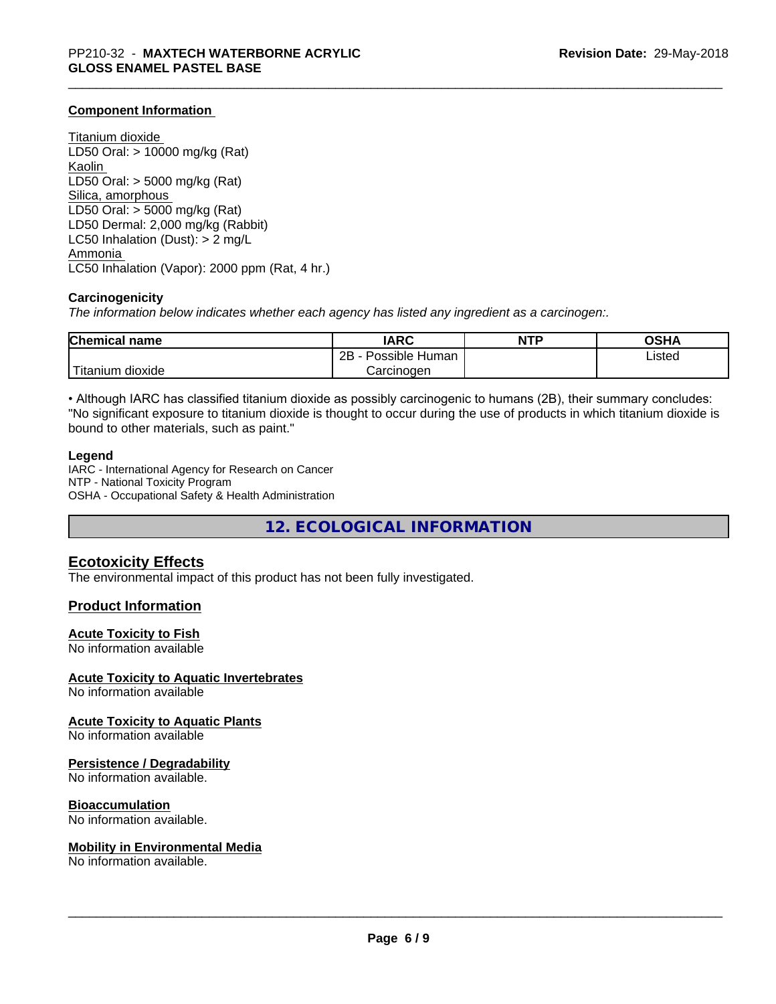## **Component Information**

Titanium dioxide LD50 Oral: > 10000 mg/kg (Rat) Kaolin LD50 Oral: > 5000 mg/kg (Rat) Silica, amorphous LD50 Oral: > 5000 mg/kg (Rat) LD50 Dermal: 2,000 mg/kg (Rabbit) LC50 Inhalation (Dust): > 2 mg/L Ammonia LC50 Inhalation (Vapor): 2000 ppm (Rat, 4 hr.)

#### **Carcinogenicity**

*The information below indicateswhether each agency has listed any ingredient as a carcinogen:.*

| <b>Chemical</b><br>name                | <b>IARC</b>                    | NTP | <b>OSHA</b> |
|----------------------------------------|--------------------------------|-----|-------------|
|                                        | . .<br>2B<br>Human<br>Possible |     | ∟isted      |
| $- - -$<br>. dioxide<br><b>itanium</b> | Carcinoɑen                     |     |             |

• Although IARC has classified titanium dioxide as possibly carcinogenic to humans (2B), their summary concludes: "No significant exposure to titanium dioxide is thought to occur during the use of products in which titanium dioxide is bound to other materials, such as paint."

#### **Legend**

IARC - International Agency for Research on Cancer NTP - National Toxicity Program OSHA - Occupational Safety & Health Administration

**12. ECOLOGICAL INFORMATION**

## **Ecotoxicity Effects**

The environmental impact of this product has not been fully investigated.

## **Product Information**

## **Acute Toxicity to Fish**

No information available

#### **Acute Toxicity to Aquatic Invertebrates**

No information available

#### **Acute Toxicity to Aquatic Plants**

No information available

#### **Persistence / Degradability**

No information available.

## **Bioaccumulation**

No information available.

#### **Mobility in Environmental Media**

No information available.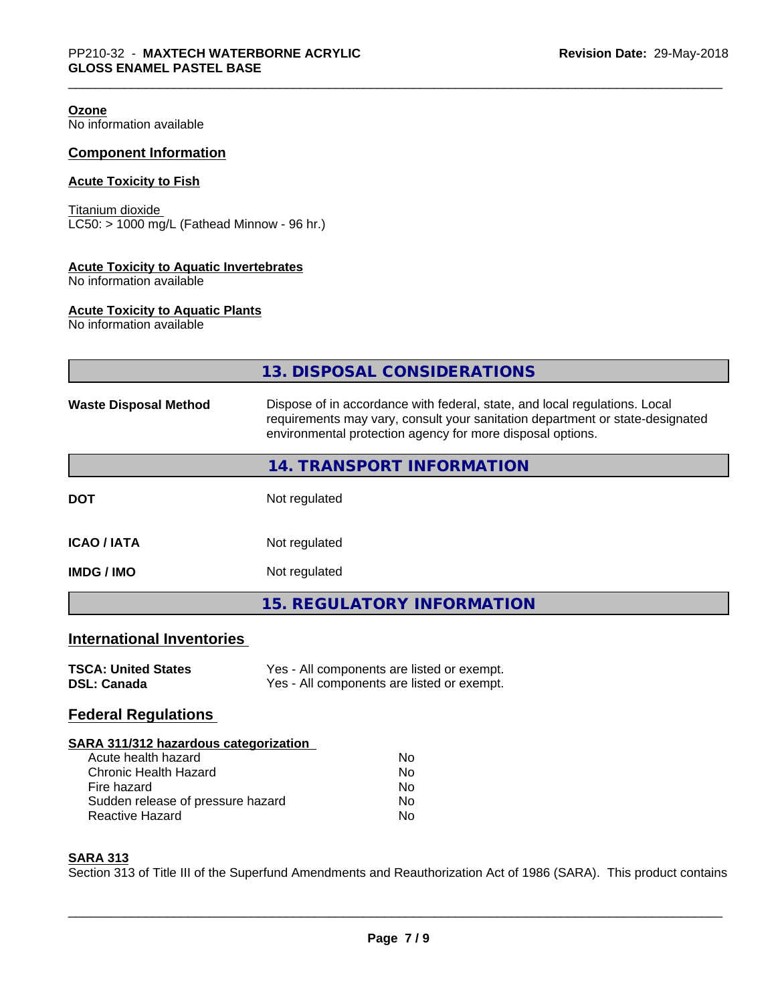| Ozone<br>No information available                                          |                                                                                                                                                                                                                           |
|----------------------------------------------------------------------------|---------------------------------------------------------------------------------------------------------------------------------------------------------------------------------------------------------------------------|
| <b>Component Information</b>                                               |                                                                                                                                                                                                                           |
| <b>Acute Toxicity to Fish</b>                                              |                                                                                                                                                                                                                           |
| Titanium dioxide<br>LC50: > 1000 mg/L (Fathead Minnow - 96 hr.)            |                                                                                                                                                                                                                           |
| <b>Acute Toxicity to Aquatic Invertebrates</b><br>No information available |                                                                                                                                                                                                                           |
| <b>Acute Toxicity to Aquatic Plants</b><br>No information available        |                                                                                                                                                                                                                           |
|                                                                            | 13. DISPOSAL CONSIDERATIONS                                                                                                                                                                                               |
| <b>Waste Disposal Method</b>                                               | Dispose of in accordance with federal, state, and local regulations. Local<br>requirements may vary, consult your sanitation department or state-designated<br>environmental protection agency for more disposal options. |
|                                                                            | 14. TRANSPORT INFORMATION                                                                                                                                                                                                 |
| <b>DOT</b>                                                                 | Not regulated                                                                                                                                                                                                             |
| <b>ICAO / IATA</b>                                                         | Not regulated                                                                                                                                                                                                             |
| <b>IMDG / IMO</b>                                                          | Not regulated                                                                                                                                                                                                             |
|                                                                            | 15. REGULATORY INFORMATION                                                                                                                                                                                                |
| <b>International Inventories</b>                                           |                                                                                                                                                                                                                           |
| <b>TSCA: United States</b><br><b>DSL: Canada</b>                           | Yes - All components are listed or exempt.<br>Yes - All components are listed or exempt.                                                                                                                                  |
| <b>Federal Regulations</b>                                                 |                                                                                                                                                                                                                           |
| SARA 311/312 hazardous categorization                                      |                                                                                                                                                                                                                           |

| Nο |
|----|
| Nο |
| Nο |
| Nο |
| Nο |
|    |

## **SARA 313**

Section 313 of Title III of the Superfund Amendments and Reauthorization Act of 1986 (SARA). This product contains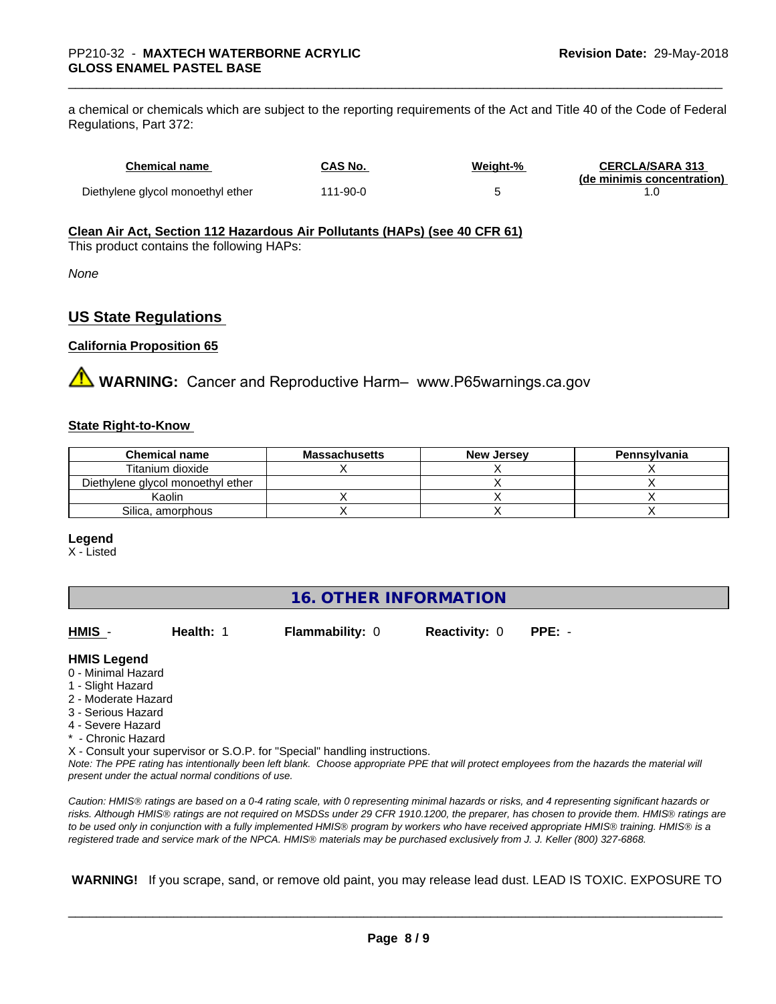a chemical or chemicals which are subject to the reporting requirements of the Act and Title 40 of the Code of Federal Regulations, Part 372:

| <b>Chemical name</b>              | CAS No.  | Weight-% | <b>CERCLA/SARA 313</b><br>(de minimis concentration) |
|-----------------------------------|----------|----------|------------------------------------------------------|
| Diethylene glycol monoethyl ether | 111-90-0 |          |                                                      |

### **Clean Air Act,Section 112 Hazardous Air Pollutants (HAPs) (see 40 CFR 61)**

This product contains the following HAPs:

*None*

## **US State Regulations**

## **California Proposition 65**

**A** WARNING: Cancer and Reproductive Harm– www.P65warnings.ca.gov

### **State Right-to-Know**

| <b>Chemical name</b>              | <b>Massachusetts</b> | <b>New Jersey</b> | Pennsylvania |
|-----------------------------------|----------------------|-------------------|--------------|
| Titanium dioxide                  |                      |                   |              |
| Diethylene glycol monoethyl ether |                      |                   |              |
| Kaolin                            |                      |                   |              |
| Silica, amorphous                 |                      |                   |              |

#### **Legend**

X - Listed

| <b>16. OTHER INFORMATION</b>                                                                                                                          |                                                    |                                                                            |                      |                                                                                                                                                 |  |  |  |
|-------------------------------------------------------------------------------------------------------------------------------------------------------|----------------------------------------------------|----------------------------------------------------------------------------|----------------------|-------------------------------------------------------------------------------------------------------------------------------------------------|--|--|--|
| HMIS -                                                                                                                                                | Health: 1                                          | <b>Flammability: 0</b>                                                     | <b>Reactivity: 0</b> | $PPE: -$                                                                                                                                        |  |  |  |
| <b>HMIS Legend</b><br>0 - Minimal Hazard<br>1 - Slight Hazard<br>2 - Moderate Hazard<br>3 - Serious Hazard<br>4 - Severe Hazard<br>* - Chronic Hazard | present under the actual normal conditions of use. | X - Consult your supervisor or S.O.P. for "Special" handling instructions. |                      | Note: The PPE rating has intentionally been left blank. Choose appropriate PPE that will protect employees from the hazards the material will   |  |  |  |
|                                                                                                                                                       |                                                    |                                                                            |                      | Caution: HMIS® ratings are based on a 0-4 rating scale, with 0 representing minimal hazards or risks, and 4 representing significant hazards or |  |  |  |

*risks. Although HMISÒ ratings are not required on MSDSs under 29 CFR 1910.1200, the preparer, has chosen to provide them. HMISÒ ratings are to be used only in conjunction with a fully implemented HMISÒ program by workers who have received appropriate HMISÒ training. HMISÒ is a registered trade and service mark of the NPCA. HMISÒ materials may be purchased exclusively from J. J. Keller (800) 327-6868.*

 **WARNING!** If you scrape, sand, or remove old paint, you may release lead dust. LEAD IS TOXIC. EXPOSURE TO